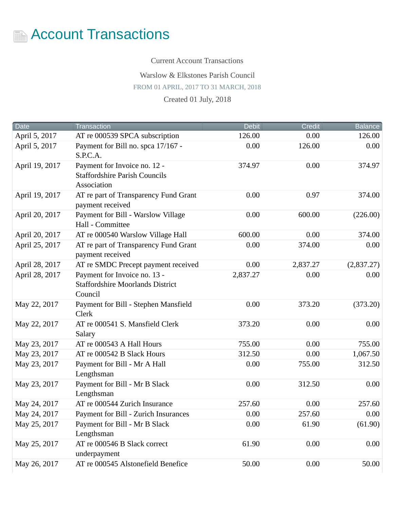

Current Account Transactions

Warslow & Elkstones Parish Council

FROM 01 APRIL, 2017 TO 31 MARCH, 2018

Created 01 July, 2018

| <b>Date</b>    | <b>Transaction</b>                                        | <b>Debit</b> | <b>Credit</b> | <b>Balance</b> |
|----------------|-----------------------------------------------------------|--------------|---------------|----------------|
| April 5, 2017  | AT re 000539 SPCA subscription                            | 126.00       | 0.00          | 126.00         |
| April 5, 2017  | Payment for Bill no. spca 17/167 -                        | 0.00         | 126.00        | 0.00           |
|                | S.P.C.A.                                                  |              |               |                |
| April 19, 2017 | Payment for Invoice no. 12 -                              | 374.97       | 0.00          | 374.97         |
|                | <b>Staffordshire Parish Councils</b>                      |              |               |                |
|                | Association                                               |              |               |                |
| April 19, 2017 | AT re part of Transparency Fund Grant                     | 0.00         | 0.97          | 374.00         |
|                | payment received                                          |              |               |                |
| April 20, 2017 | Payment for Bill - Warslow Village                        | 0.00         | 600.00        | (226.00)       |
|                | Hall - Committee                                          |              |               |                |
| April 20, 2017 | AT re 000540 Warslow Village Hall                         | 600.00       | 0.00          | 374.00         |
| April 25, 2017 | AT re part of Transparency Fund Grant<br>payment received | 0.00         | 374.00        | 0.00           |
| April 28, 2017 | AT re SMDC Precept payment received                       | 0.00         | 2,837.27      | (2,837.27)     |
| April 28, 2017 | Payment for Invoice no. 13 -                              | 2,837.27     | 0.00          | 0.00           |
|                | <b>Staffordshire Moorlands District</b>                   |              |               |                |
|                | Council                                                   |              |               |                |
| May 22, 2017   | Payment for Bill - Stephen Mansfield                      | 0.00         | 373.20        | (373.20)       |
|                | <b>Clerk</b>                                              |              |               |                |
| May 22, 2017   | AT re 000541 S. Mansfield Clerk                           | 373.20       | 0.00          | 0.00           |
|                | Salary                                                    |              |               |                |
| May 23, 2017   | AT re 000543 A Hall Hours                                 | 755.00       | 0.00          | 755.00         |
| May 23, 2017   | AT re 000542 B Slack Hours                                | 312.50       | 0.00          | 1,067.50       |
| May 23, 2017   | Payment for Bill - Mr A Hall                              | 0.00         | 755.00        | 312.50         |
|                | Lengthsman                                                |              |               |                |
| May 23, 2017   | Payment for Bill - Mr B Slack<br>Lengthsman               | 0.00         | 312.50        | 0.00           |
| May 24, 2017   | AT re 000544 Zurich Insurance                             | 257.60       | 0.00          | 257.60         |
|                |                                                           |              |               |                |
| May 24, 2017   | Payment for Bill - Zurich Insurances                      | 0.00         | 257.60        | 0.00           |
| May 25, 2017   | Payment for Bill - Mr B Slack<br>Lengthsman               | 0.00         | 61.90         | (61.90)        |
| May 25, 2017   | AT re 000546 B Slack correct                              | 61.90        | 0.00          | 0.00           |
|                | underpayment                                              |              |               |                |
| May 26, 2017   | AT re 000545 Alstonefield Benefice                        | 50.00        | 0.00          | 50.00          |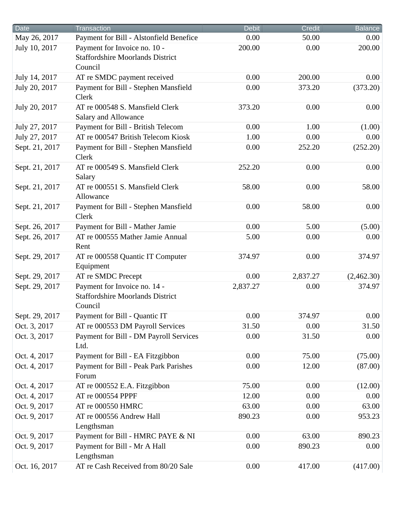| <b>Date</b>    | Transaction                                                                        | <b>Debit</b> | <b>Credit</b> | Balance    |
|----------------|------------------------------------------------------------------------------------|--------------|---------------|------------|
| May 26, 2017   | Payment for Bill - Alstonfield Benefice                                            | 0.00         | 50.00         | 0.00       |
| July 10, 2017  | Payment for Invoice no. 10 -<br><b>Staffordshire Moorlands District</b><br>Council | 200.00       | 0.00          | 200.00     |
| July 14, 2017  | AT re SMDC payment received                                                        | 0.00         | 200.00        | 0.00       |
| July 20, 2017  | Payment for Bill - Stephen Mansfield<br><b>Clerk</b>                               | 0.00         | 373.20        | (373.20)   |
| July 20, 2017  | AT re 000548 S. Mansfield Clerk<br><b>Salary and Allowance</b>                     | 373.20       | 0.00          | 0.00       |
| July 27, 2017  | Payment for Bill - British Telecom                                                 | 0.00         | 1.00          | (1.00)     |
| July 27, 2017  | AT re 000547 British Telecom Kiosk                                                 | 1.00         | 0.00          | 0.00       |
| Sept. 21, 2017 | Payment for Bill - Stephen Mansfield<br><b>Clerk</b>                               | 0.00         | 252.20        | (252.20)   |
| Sept. 21, 2017 | AT re 000549 S. Mansfield Clerk<br>Salary                                          | 252.20       | 0.00          | 0.00       |
| Sept. 21, 2017 | AT re 000551 S. Mansfield Clerk<br>Allowance                                       | 58.00        | 0.00          | 58.00      |
| Sept. 21, 2017 | Payment for Bill - Stephen Mansfield<br><b>Clerk</b>                               | 0.00         | 58.00         | 0.00       |
| Sept. 26, 2017 | Payment for Bill - Mather Jamie                                                    | 0.00         | 5.00          | (5.00)     |
| Sept. 26, 2017 | AT re 000555 Mather Jamie Annual<br>Rent                                           | 5.00         | 0.00          | 0.00       |
| Sept. 29, 2017 | AT re 000558 Quantic IT Computer<br>Equipment                                      | 374.97       | 0.00          | 374.97     |
| Sept. 29, 2017 | AT re SMDC Precept                                                                 | 0.00         | 2,837.27      | (2,462.30) |
| Sept. 29, 2017 | Payment for Invoice no. 14 -<br><b>Staffordshire Moorlands District</b><br>Council | 2,837.27     | 0.00          | 374.97     |
| Sept. 29, 2017 | Payment for Bill - Quantic IT                                                      | 0.00         | 374.97        | 0.00       |
| Oct. 3, 2017   | AT re 000553 DM Payroll Services                                                   | 31.50        | 0.00          | 31.50      |
| Oct. 3, 2017   | Payment for Bill - DM Payroll Services<br>Ltd.                                     | 0.00         | 31.50         | 0.00       |
| Oct. 4, 2017   | Payment for Bill - EA Fitzgibbon                                                   | 0.00         | 75.00         | (75.00)    |
| Oct. 4, 2017   | Payment for Bill - Peak Park Parishes<br>Forum                                     | 0.00         | 12.00         | (87.00)    |
| Oct. 4, 2017   | AT re 000552 E.A. Fitzgibbon                                                       | 75.00        | 0.00          | (12.00)    |
| Oct. 4, 2017   | AT re 000554 PPPF                                                                  | 12.00        | 0.00          | 0.00       |
| Oct. 9, 2017   | AT re 000550 HMRC                                                                  | 63.00        | 0.00          | 63.00      |
| Oct. 9, 2017   | AT re 000556 Andrew Hall<br>Lengthsman                                             | 890.23       | 0.00          | 953.23     |
| Oct. 9, 2017   | Payment for Bill - HMRC PAYE & NI                                                  | 0.00         | 63.00         | 890.23     |
| Oct. 9, 2017   | Payment for Bill - Mr A Hall<br>Lengthsman                                         | 0.00         | 890.23        | 0.00       |
| Oct. 16, 2017  | AT re Cash Received from 80/20 Sale                                                | 0.00         | 417.00        | (417.00)   |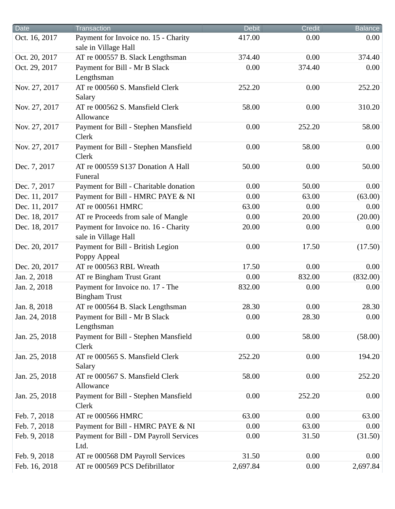| <b>Date</b>   | <b>Transaction</b>                                           | <b>Debit</b> | <b>Credit</b> | <b>Balance</b> |
|---------------|--------------------------------------------------------------|--------------|---------------|----------------|
| Oct. 16, 2017 | Payment for Invoice no. 15 - Charity<br>sale in Village Hall | 417.00       | 0.00          | 0.00           |
| Oct. 20, 2017 | AT re 000557 B. Slack Lengthsman                             | 374.40       | 0.00          | 374.40         |
| Oct. 29, 2017 | Payment for Bill - Mr B Slack<br>Lengthsman                  | 0.00         | 374.40        | 0.00           |
| Nov. 27, 2017 | AT re 000560 S. Mansfield Clerk<br>Salary                    | 252.20       | 0.00          | 252.20         |
| Nov. 27, 2017 | AT re 000562 S. Mansfield Clerk<br>Allowance                 | 58.00        | 0.00          | 310.20         |
| Nov. 27, 2017 | Payment for Bill - Stephen Mansfield<br><b>Clerk</b>         | 0.00         | 252.20        | 58.00          |
| Nov. 27, 2017 | Payment for Bill - Stephen Mansfield<br><b>Clerk</b>         | 0.00         | 58.00         | 0.00           |
| Dec. 7, 2017  | AT re 000559 S137 Donation A Hall<br>Funeral                 | 50.00        | 0.00          | 50.00          |
| Dec. 7, 2017  | Payment for Bill - Charitable donation                       | 0.00         | 50.00         | 0.00           |
| Dec. 11, 2017 | Payment for Bill - HMRC PAYE & NI                            | 0.00         | 63.00         | (63.00)        |
| Dec. 11, 2017 | AT re 000561 HMRC                                            | 63.00        | 0.00          | 0.00           |
| Dec. 18, 2017 | AT re Proceeds from sale of Mangle                           | 0.00         | 20.00         | (20.00)        |
| Dec. 18, 2017 | Payment for Invoice no. 16 - Charity<br>sale in Village Hall | 20.00        | 0.00          | 0.00           |
| Dec. 20, 2017 | Payment for Bill - British Legion<br>Poppy Appeal            | 0.00         | 17.50         | (17.50)        |
| Dec. 20, 2017 | AT re 000563 RBL Wreath                                      | 17.50        | 0.00          | 0.00           |
| Jan. 2, 2018  | AT re Bingham Trust Grant                                    | 0.00         | 832.00        | (832.00)       |
| Jan. 2, 2018  | Payment for Invoice no. 17 - The<br><b>Bingham Trust</b>     | 832.00       | 0.00          | 0.00           |
| Jan. 8, 2018  | AT re 000564 B. Slack Lengthsman                             | 28.30        | 0.00          | 28.30          |
| Jan. 24, 2018 | Payment for Bill - Mr B Slack<br>Lengthsman                  | 0.00         | 28.30         | 0.00           |
| Jan. 25, 2018 | Payment for Bill - Stephen Mansfield<br><b>Clerk</b>         | 0.00         | 58.00         | (58.00)        |
| Jan. 25, 2018 | AT re 000565 S. Mansfield Clerk<br>Salary                    | 252.20       | 0.00          | 194.20         |
| Jan. 25, 2018 | AT re 000567 S. Mansfield Clerk<br>Allowance                 | 58.00        | 0.00          | 252.20         |
| Jan. 25, 2018 | Payment for Bill - Stephen Mansfield<br><b>Clerk</b>         | 0.00         | 252.20        | 0.00           |
| Feb. 7, 2018  | AT re 000566 HMRC                                            | 63.00        | 0.00          | 63.00          |
| Feb. 7, 2018  | Payment for Bill - HMRC PAYE & NI                            | 0.00         | 63.00         | 0.00           |
| Feb. 9, 2018  | Payment for Bill - DM Payroll Services<br>Ltd.               | 0.00         | 31.50         | (31.50)        |
| Feb. 9, 2018  | AT re 000568 DM Payroll Services                             | 31.50        | 0.00          | 0.00           |
| Feb. 16, 2018 | AT re 000569 PCS Defibrillator                               | 2,697.84     | 0.00          | 2,697.84       |